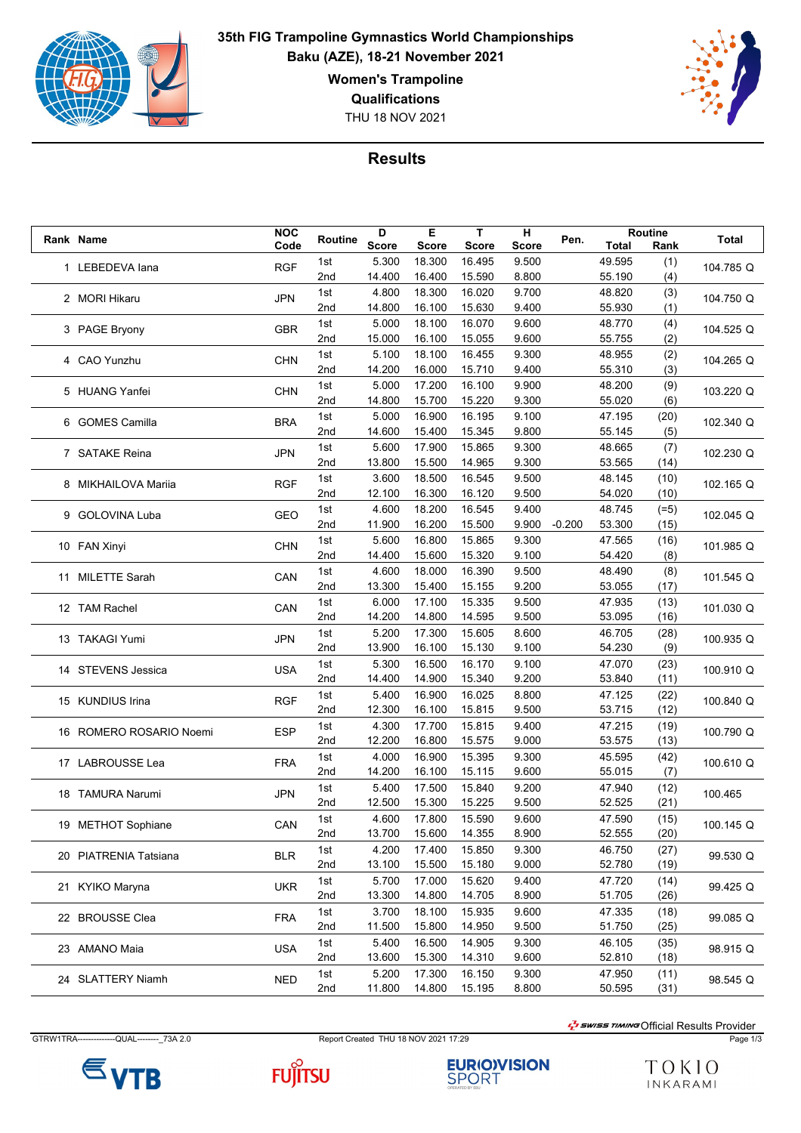

**35th FIG Trampoline Gymnastics World Championships Baku (AZE), 18-21 November 2021 Women's Trampoline Qualifications**

THU 18 NOV 2021



## **Results**

|  |                                                                              | <b>NOC</b>                             |         | D            | Е            | т            | н     |          |        | Routine |                      |
|--|------------------------------------------------------------------------------|----------------------------------------|---------|--------------|--------------|--------------|-------|----------|--------|---------|----------------------|
|  | Rank Name                                                                    | Code                                   | Routine | <b>Score</b> | <b>Score</b> | <b>Score</b> | Score | Pen.     | Total  | Rank    | <b>Total</b>         |
|  | 1 LEBEDEVA lana                                                              |                                        | 1st     | 5.300        | 18.300       | 16.495       | 9.500 |          | 49.595 | (1)     |                      |
|  |                                                                              | <b>RGF</b>                             | 2nd     | 14.400       | 16.400       | 15.590       | 8.800 |          | 55.190 | (4)     | 104.785 Q            |
|  |                                                                              |                                        | 1st     | 4.800        | 18.300       | 16.020       | 9.700 |          | 48.820 |         |                      |
|  | 2 MORI Hikaru                                                                | <b>JPN</b>                             |         |              |              |              |       |          |        | (3)     | 104.750 Q            |
|  |                                                                              |                                        | 2nd     | 14.800       | 16.100       | 15.630       | 9.400 |          | 55.930 | (1)     |                      |
|  | 3 PAGE Bryony                                                                | <b>GBR</b>                             | 1st     | 5.000        | 18.100       | 16.070       | 9.600 |          | 48.770 | (4)     | 104.525 Q            |
|  |                                                                              |                                        | 2nd     | 15.000       | 16.100       | 15.055       | 9.600 |          | 55.755 | (2)     |                      |
|  | 4 CAO Yunzhu                                                                 | <b>CHN</b>                             | 1st     | 5.100        | 18.100       | 16.455       | 9.300 |          | 48.955 | (2)     | 104.265 Q            |
|  |                                                                              |                                        | 2nd     | 14.200       | 16.000       | 15.710       | 9.400 |          | 55.310 | (3)     |                      |
|  | 5 HUANG Yanfei                                                               |                                        | 1st     | 5.000        | 17.200       | 16.100       | 9.900 |          | 48.200 | (9)     | 103.220 Q            |
|  |                                                                              | <b>CHN</b>                             | 2nd     | 14.800       | 15.700       | 15.220       | 9.300 |          | 55.020 | (6)     |                      |
|  | 6 GOMES Camilla                                                              |                                        | 1st     | 5.000        | 16.900       | 16.195       | 9.100 |          | 47.195 | (20)    | 102.340 Q            |
|  |                                                                              | <b>BRA</b>                             | 2nd     | 14.600       | 15.400       | 15.345       | 9.800 |          | 55.145 | (5)     |                      |
|  |                                                                              |                                        |         |              |              |              |       |          |        |         |                      |
|  | 7 SATAKE Reina                                                               | <b>JPN</b>                             | 1st     | 5.600        | 17.900       | 15.865       | 9.300 |          | 48.665 | (7)     | 102.230 Q            |
|  |                                                                              |                                        | 2nd     | 13.800       | 15.500       | 14.965       | 9.300 |          | 53.565 | (14)    |                      |
|  | 8 MIKHAILOVA Mariia                                                          | <b>RGF</b>                             | 1st     | 3.600        | 18.500       | 16.545       | 9.500 |          | 48.145 | (10)    | 102.165 Q            |
|  |                                                                              |                                        | 2nd     | 12.100       | 16.300       | 16.120       | 9.500 |          | 54.020 | (10)    |                      |
|  | 9 GOLOVINA Luba                                                              | <b>GEO</b>                             | 1st     | 4.600        | 18.200       | 16.545       | 9.400 |          | 48.745 | $(=5)$  | 102.045 Q            |
|  |                                                                              |                                        | 2nd     | 11.900       | 16.200       | 15.500       | 9.900 | $-0.200$ | 53.300 | (15)    |                      |
|  | 10 FAN Xinyi                                                                 |                                        | 1st     | 5.600        | 16.800       | 15.865       | 9.300 |          | 47.565 | (16)    |                      |
|  |                                                                              | <b>CHN</b>                             | 2nd     | 14.400       | 15.600       | 15.320       | 9.100 |          | 54.420 | (8)     | 101.985 Q            |
|  |                                                                              |                                        | 1st     | 4.600        | 18.000       | 16.390       | 9.500 |          | 48.490 | (8)     |                      |
|  | 11 MILETTE Sarah                                                             | CAN                                    | 2nd     | 13.300       | 15.400       | 15.155       | 9.200 |          | 53.055 | (17)    | 101.545 Q            |
|  |                                                                              |                                        |         |              |              |              |       |          |        |         |                      |
|  | 12 TAM Rachel                                                                | CAN                                    | 1st     | 6.000        | 17.100       | 15.335       | 9.500 |          | 47.935 | (13)    | 101.030 Q            |
|  |                                                                              |                                        | 2nd     | 14.200       | 14.800       | 14.595       | 9.500 |          | 53.095 | (16)    |                      |
|  | 13 TAKAGI Yumi                                                               | <b>JPN</b>                             | 1st     | 5.200        | 17.300       | 15.605       | 8.600 |          | 46.705 | (28)    | 100.935 Q            |
|  |                                                                              |                                        | 2nd     | 13.900       | 16.100       | 15.130       | 9.100 |          | 54.230 | (9)     |                      |
|  | 14 STEVENS Jessica                                                           | USA                                    | 1st     | 5.300        | 16.500       | 16.170       | 9.100 |          | 47.070 | (23)    | 100.910 Q            |
|  |                                                                              |                                        | 2nd     | 14.400       | 14.900       | 15.340       | 9.200 |          | 53.840 | (11)    |                      |
|  | 15 KUNDIUS Irina                                                             |                                        | 1st     | 5.400        | 16.900       | 16.025       | 8.800 |          | 47.125 | (22)    |                      |
|  |                                                                              | <b>RGF</b>                             | 2nd     | 12.300       | 16.100       | 15.815       | 9.500 |          | 53.715 | (12)    | 100.840 Q            |
|  |                                                                              |                                        | 1st     | 4.300        | 17.700       | 15.815       | 9.400 |          | 47.215 | (19)    |                      |
|  | 16 ROMERO ROSARIO Noemi                                                      | <b>ESP</b>                             | 2nd     | 12.200       | 16.800       | 15.575       | 9.000 |          | 53.575 | (13)    | 100.790 Q            |
|  |                                                                              |                                        |         |              |              |              |       |          |        |         |                      |
|  | 17 LABROUSSE Lea                                                             | <b>FRA</b>                             | 1st     | 4.000        | 16.900       | 15.395       | 9.300 |          | 45.595 | (42)    | 100.610 Q            |
|  |                                                                              |                                        | 2nd     | 14.200       | 16.100       | 15.115       | 9.600 |          | 55.015 | (7)     |                      |
|  | 18 TAMURA Narumi                                                             | <b>JPN</b>                             | 1st     | 5.400        | 17.500       | 15.840       | 9.200 |          | 47.940 | (12)    | 100.465              |
|  |                                                                              |                                        | 2nd     | 12.500       | 15.300       | 15.225       | 9.500 |          | 52.525 | (21)    |                      |
|  | 19 METHOT Sophiane                                                           | CAN                                    | 1st     | 4.600        | 17.800       | 15.590       | 9.600 |          | 47.590 | (15)    | 100.145 Q            |
|  |                                                                              |                                        | 2nd     | 13.700       | 15.600       | 14.355       | 8.900 |          | 52.555 | (20)    |                      |
|  | 20 PIATRENIA Tatsiana<br>21 KYIKO Maryna<br>22 BROUSSE Clea<br>23 AMANO Maia | BLR<br><b>UKR</b><br><b>FRA</b><br>USA | 1st     | 4.200        | 17.400       | 15.850       | 9.300 |          | 46.750 | (27)    | 99.530 Q<br>99.425 Q |
|  |                                                                              |                                        | 2nd     | 13.100       | 15.500       | 15.180       | 9.000 |          | 52.780 | (19)    |                      |
|  |                                                                              |                                        | 1st     | 5.700        | 17.000       | 15.620       | 9.400 |          | 47.720 | (14)    |                      |
|  |                                                                              |                                        |         |              | 14.800       | 14.705       |       |          | 51.705 |         |                      |
|  |                                                                              |                                        | 2nd     | 13.300       |              |              | 8.900 |          |        | (26)    |                      |
|  |                                                                              |                                        | 1st     | 3.700        | 18.100       | 15.935       | 9.600 |          | 47.335 | (18)    | 99.085 Q             |
|  |                                                                              |                                        | 2nd     | 11.500       | 15.800       | 14.950       | 9.500 |          | 51.750 | (25)    |                      |
|  |                                                                              |                                        | 1st     | 5.400        | 16.500       | 14.905       | 9.300 |          | 46.105 | (35)    | 98.915 Q             |
|  |                                                                              |                                        | 2nd     | 13.600       | 15.300       | 14.310       | 9.600 |          | 52.810 | (18)    |                      |
|  | 24 SLATTERY Niamh                                                            | <b>NED</b>                             | 1st     | 5.200        | 17.300       | 16.150       | 9.300 |          | 47.950 | (11)    | 98.545 Q             |
|  |                                                                              |                                        | 2nd     | 11.800       | 14.800       | 15.195       | 8.800 |          | 50.595 | (31)    |                      |

GTRW1TRA--------------QUAL---------\_73A 2.0 Report Created THU 18 NOV 2021 17:29 Page 1/3

 $\varepsilon$ <sub>VTB</sub>



**EURIO)VISION**<br>SPORT

 $\frac{1}{2}$ swiss TIMING Official Results Provider

TOKIO INKARAMI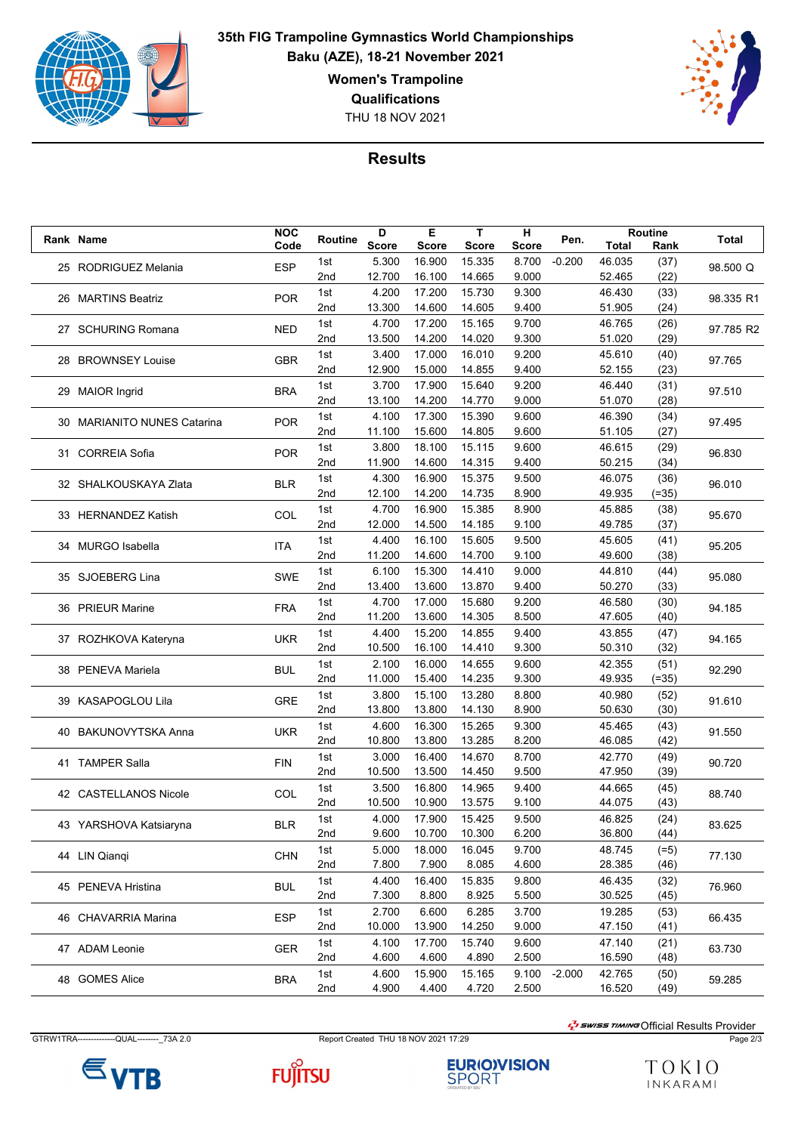

**35th FIG Trampoline Gymnastics World Championships Baku (AZE), 18-21 November 2021 Women's Trampoline Qualifications**

THU 18 NOV 2021



## **Results**

| Rank Name<br>Total<br>5.300<br>16.900<br>15.335<br>8.700<br>$-0.200$<br>46.035<br>1st<br>(37)<br><b>ESP</b><br>25 RODRIGUEZ Melania<br>98.500 Q<br>(22)<br>12.700<br>14.665<br>16.100<br>9.000<br>52.465<br>2nd<br>4.200<br>17.200<br>15.730<br>9.300<br>1st<br>46.430<br>(33)<br><b>POR</b><br>98.335 R1<br>26 MARTINS Beatriz<br>14.605<br>2nd<br>13.300<br>14.600<br>9.400<br>51.905<br>(24)<br>15.165<br>(26)<br>1st<br>4.700<br>17.200<br>9.700<br>46.765<br><b>NED</b><br>97.785 R2<br>27 SCHURING Romana<br>14.200<br>14.020<br>9.300<br>(29)<br>2nd<br>13.500<br>51.020<br>3.400<br>17.000<br>16.010<br>9.200<br>45.610<br>(40)<br>1st<br>28 BROWNSEY Louise<br><b>GBR</b><br>97.765<br>2nd<br>12.900<br>15.000<br>14.855<br>9.400<br>52.155<br>(23)<br>3.700<br>17.900<br>15.640<br>9.200<br>46.440<br>1st<br>(31)<br><b>BRA</b><br>29 MAIOR Ingrid<br>97.510<br>14.770<br>2nd<br>13.100<br>14.200<br>9.000<br>51.070<br>(28)<br>4.100<br>15.390<br>9.600<br>1st<br>17.300<br>46.390<br>(34)<br><b>POR</b><br>30 MARIANITO NUNES Catarina<br>97.495<br>15.600<br>14.805<br>9.600<br>2nd<br>11.100<br>51.105<br>(27)<br>3.800<br>18.100<br>15.115<br>9.600<br>(29)<br>1st<br>46.615<br><b>POR</b><br>96.830<br>31 CORREIA Sofia<br>14.315<br>11.900<br>14.600<br>9.400<br>50.215<br>(34)<br>2nd<br>4.300<br>16.900<br>15.375<br>9.500<br>1st<br>46.075<br>(36)<br><b>BLR</b><br>96.010<br>32 SHALKOUSKAYA Zlata<br>14.735<br>2nd<br>12.100<br>14.200<br>8.900<br>49.935<br>$(=35)$<br>15.385<br>1st<br>4.700<br>16.900<br>8.900<br>45.885<br>(38)<br>COL<br>95.670<br>33 HERNANDEZ Katish<br>12.000<br>9.100<br>49.785<br>2nd<br>14.500<br>14.185<br>(37)<br>4.400<br>16.100<br>15.605<br>9.500<br>45.605<br>(41)<br>1st<br><b>ITA</b><br>95.205<br>34 MURGO Isabella<br>11.200<br>14.700<br>2nd<br>14.600<br>9.100<br>49.600<br>(38)<br>6.100<br>15.300<br>14.410<br>9.000<br>44.810<br>1st<br>(44)<br><b>SWE</b><br>35 SJOEBERG Lina<br>95.080<br>2nd<br>13.400<br>13.600<br>13.870<br>9.400<br>50.270<br>(33)<br>4.700<br>1st<br>17.000<br>15.680<br>9.200<br>46.580<br>(30)<br>36 PRIEUR Marine<br><b>FRA</b><br>94.185<br>11.200<br>13.600<br>14.305<br>8.500<br>47.605<br>(40)<br>2nd<br>4.400<br>15.200<br>14.855<br>9.400<br>1st<br>43.855<br>(47)<br><b>UKR</b><br>37 ROZHKOVA Kateryna<br>94.165<br>10.500<br>9.300<br>50.310<br>(32)<br>16.100<br>14.410<br>2nd<br>2.100<br>16.000<br>14.655<br>1st<br>9.600<br>42.355<br>(51)<br><b>BUL</b><br>38 PENEVA Mariela<br>92.290<br>14.235<br>9.300<br>2nd<br>11.000<br>15.400<br>49.935<br>$(=35)$<br>3.800<br>15.100<br>13.280<br>1st<br>8.800<br>40.980<br>(52)<br><b>GRE</b><br>39 KASAPOGLOU Lila<br>91.610<br>13.800<br>8.900<br>(30)<br>2nd<br>13.800<br>14.130<br>50.630<br>4.600<br>16.300<br>15.265<br>9.300<br>45.465<br>(43)<br>1st<br><b>UKR</b><br>91.550<br>40 BAKUNOVYTSKA Anna<br>13.285<br>8.200<br>(42)<br>2nd<br>10.800<br>13.800<br>46.085<br>3.000<br>16.400<br>14.670<br>8.700<br>42.770<br>1st<br>(49)<br>41 TAMPER Salla<br><b>FIN</b><br>90.720<br>10.500<br>9.500<br>2nd<br>13.500<br>14.450<br>47.950<br>(39)<br>3.500<br>16.800<br>14.965<br>9.400<br>1st<br>44.665<br>(45)<br>42 CASTELLANOS Nicole<br>COL<br>88.740<br>10.500<br>2nd<br>10.900<br>13.575<br>9.100<br>44.075<br>(43)<br>4.000<br>17.900<br>15.425<br>(24)<br>1st<br>9.500<br>46.825<br><b>BLR</b><br>83.625<br>43 YARSHOVA Katsiaryna<br>9.600<br>10.700<br>10.300<br>6.200<br>36.800<br>(44)<br>2nd<br>1st<br>5.000<br>18.000<br>16.045<br>9.700<br>48.745<br>$(=5)$<br><b>CHN</b><br>44 LIN Qianqi<br>77.130<br>7.800<br>7.900<br>8.085<br>4.600<br>28.385<br>(46)<br>2nd<br>4.400<br>16.400<br>15.835<br>9.800<br>46.435<br>1st<br>(32)<br>45 PENEVA Hristina<br><b>BUL</b><br>76.960<br>8.925<br>30.525<br>(45)<br>2nd<br>7.300<br>8.800<br>5.500<br>2.700<br>6.600<br>6.285<br>3.700<br>19.285<br>(53)<br>1st<br><b>ESP</b><br>66.435<br>46 CHAVARRIA Marina<br>10.000<br>14.250<br>47.150<br>2nd<br>13.900<br>9.000<br>(41)<br>4.100<br>17.700<br>15.740<br>47.140<br>1st<br>9.600<br>(21)<br>47 ADAM Leonie<br><b>GER</b><br>63.730<br>4.600<br>4.890<br>2.500<br>16.590<br>2nd<br>4.600<br>(48)<br>4.600<br>15.900<br>15.165<br>9.100<br>$-2.000$<br>42.765<br>1st<br>(50)<br>48 GOMES Alice<br><b>BRA</b><br>59.285<br>4.900<br>4.400<br>4.720<br>2.500<br>16.520<br>2nd<br>(49) |  |  | <b>NOC</b> | Routine | D            | Е            | Т            | н            | Pen. | Routine |      | <b>Total</b> |
|-------------------------------------------------------------------------------------------------------------------------------------------------------------------------------------------------------------------------------------------------------------------------------------------------------------------------------------------------------------------------------------------------------------------------------------------------------------------------------------------------------------------------------------------------------------------------------------------------------------------------------------------------------------------------------------------------------------------------------------------------------------------------------------------------------------------------------------------------------------------------------------------------------------------------------------------------------------------------------------------------------------------------------------------------------------------------------------------------------------------------------------------------------------------------------------------------------------------------------------------------------------------------------------------------------------------------------------------------------------------------------------------------------------------------------------------------------------------------------------------------------------------------------------------------------------------------------------------------------------------------------------------------------------------------------------------------------------------------------------------------------------------------------------------------------------------------------------------------------------------------------------------------------------------------------------------------------------------------------------------------------------------------------------------------------------------------------------------------------------------------------------------------------------------------------------------------------------------------------------------------------------------------------------------------------------------------------------------------------------------------------------------------------------------------------------------------------------------------------------------------------------------------------------------------------------------------------------------------------------------------------------------------------------------------------------------------------------------------------------------------------------------------------------------------------------------------------------------------------------------------------------------------------------------------------------------------------------------------------------------------------------------------------------------------------------------------------------------------------------------------------------------------------------------------------------------------------------------------------------------------------------------------------------------------------------------------------------------------------------------------------------------------------------------------------------------------------------------------------------------------------------------------------------------------------------------------------------------------------------------------------------------------------------------------------------------------------------------------------------------------------------------------------------------------------------------------------------------------------------------------------------------------------------------------------------------------------------------------------------------------------------------------------------------------------------------------------------------------------------------------------------------------------------------------------------------------------------------------------------------------------------------------------------------------------------------------------------------------------|--|--|------------|---------|--------------|--------------|--------------|--------------|------|---------|------|--------------|
|                                                                                                                                                                                                                                                                                                                                                                                                                                                                                                                                                                                                                                                                                                                                                                                                                                                                                                                                                                                                                                                                                                                                                                                                                                                                                                                                                                                                                                                                                                                                                                                                                                                                                                                                                                                                                                                                                                                                                                                                                                                                                                                                                                                                                                                                                                                                                                                                                                                                                                                                                                                                                                                                                                                                                                                                                                                                                                                                                                                                                                                                                                                                                                                                                                                                                                                                                                                                                                                                                                                                                                                                                                                                                                                                                                                                                                                                                                                                                                                                                                                                                                                                                                                                                                                                                                                                                       |  |  | Code       |         | <b>Score</b> | <b>Score</b> | <b>Score</b> | <b>Score</b> |      |         | Rank |              |
|                                                                                                                                                                                                                                                                                                                                                                                                                                                                                                                                                                                                                                                                                                                                                                                                                                                                                                                                                                                                                                                                                                                                                                                                                                                                                                                                                                                                                                                                                                                                                                                                                                                                                                                                                                                                                                                                                                                                                                                                                                                                                                                                                                                                                                                                                                                                                                                                                                                                                                                                                                                                                                                                                                                                                                                                                                                                                                                                                                                                                                                                                                                                                                                                                                                                                                                                                                                                                                                                                                                                                                                                                                                                                                                                                                                                                                                                                                                                                                                                                                                                                                                                                                                                                                                                                                                                                       |  |  |            |         |              |              |              |              |      |         |      |              |
|                                                                                                                                                                                                                                                                                                                                                                                                                                                                                                                                                                                                                                                                                                                                                                                                                                                                                                                                                                                                                                                                                                                                                                                                                                                                                                                                                                                                                                                                                                                                                                                                                                                                                                                                                                                                                                                                                                                                                                                                                                                                                                                                                                                                                                                                                                                                                                                                                                                                                                                                                                                                                                                                                                                                                                                                                                                                                                                                                                                                                                                                                                                                                                                                                                                                                                                                                                                                                                                                                                                                                                                                                                                                                                                                                                                                                                                                                                                                                                                                                                                                                                                                                                                                                                                                                                                                                       |  |  |            |         |              |              |              |              |      |         |      |              |
|                                                                                                                                                                                                                                                                                                                                                                                                                                                                                                                                                                                                                                                                                                                                                                                                                                                                                                                                                                                                                                                                                                                                                                                                                                                                                                                                                                                                                                                                                                                                                                                                                                                                                                                                                                                                                                                                                                                                                                                                                                                                                                                                                                                                                                                                                                                                                                                                                                                                                                                                                                                                                                                                                                                                                                                                                                                                                                                                                                                                                                                                                                                                                                                                                                                                                                                                                                                                                                                                                                                                                                                                                                                                                                                                                                                                                                                                                                                                                                                                                                                                                                                                                                                                                                                                                                                                                       |  |  |            |         |              |              |              |              |      |         |      |              |
|                                                                                                                                                                                                                                                                                                                                                                                                                                                                                                                                                                                                                                                                                                                                                                                                                                                                                                                                                                                                                                                                                                                                                                                                                                                                                                                                                                                                                                                                                                                                                                                                                                                                                                                                                                                                                                                                                                                                                                                                                                                                                                                                                                                                                                                                                                                                                                                                                                                                                                                                                                                                                                                                                                                                                                                                                                                                                                                                                                                                                                                                                                                                                                                                                                                                                                                                                                                                                                                                                                                                                                                                                                                                                                                                                                                                                                                                                                                                                                                                                                                                                                                                                                                                                                                                                                                                                       |  |  |            |         |              |              |              |              |      |         |      |              |
|                                                                                                                                                                                                                                                                                                                                                                                                                                                                                                                                                                                                                                                                                                                                                                                                                                                                                                                                                                                                                                                                                                                                                                                                                                                                                                                                                                                                                                                                                                                                                                                                                                                                                                                                                                                                                                                                                                                                                                                                                                                                                                                                                                                                                                                                                                                                                                                                                                                                                                                                                                                                                                                                                                                                                                                                                                                                                                                                                                                                                                                                                                                                                                                                                                                                                                                                                                                                                                                                                                                                                                                                                                                                                                                                                                                                                                                                                                                                                                                                                                                                                                                                                                                                                                                                                                                                                       |  |  |            |         |              |              |              |              |      |         |      |              |
|                                                                                                                                                                                                                                                                                                                                                                                                                                                                                                                                                                                                                                                                                                                                                                                                                                                                                                                                                                                                                                                                                                                                                                                                                                                                                                                                                                                                                                                                                                                                                                                                                                                                                                                                                                                                                                                                                                                                                                                                                                                                                                                                                                                                                                                                                                                                                                                                                                                                                                                                                                                                                                                                                                                                                                                                                                                                                                                                                                                                                                                                                                                                                                                                                                                                                                                                                                                                                                                                                                                                                                                                                                                                                                                                                                                                                                                                                                                                                                                                                                                                                                                                                                                                                                                                                                                                                       |  |  |            |         |              |              |              |              |      |         |      |              |
|                                                                                                                                                                                                                                                                                                                                                                                                                                                                                                                                                                                                                                                                                                                                                                                                                                                                                                                                                                                                                                                                                                                                                                                                                                                                                                                                                                                                                                                                                                                                                                                                                                                                                                                                                                                                                                                                                                                                                                                                                                                                                                                                                                                                                                                                                                                                                                                                                                                                                                                                                                                                                                                                                                                                                                                                                                                                                                                                                                                                                                                                                                                                                                                                                                                                                                                                                                                                                                                                                                                                                                                                                                                                                                                                                                                                                                                                                                                                                                                                                                                                                                                                                                                                                                                                                                                                                       |  |  |            |         |              |              |              |              |      |         |      |              |
|                                                                                                                                                                                                                                                                                                                                                                                                                                                                                                                                                                                                                                                                                                                                                                                                                                                                                                                                                                                                                                                                                                                                                                                                                                                                                                                                                                                                                                                                                                                                                                                                                                                                                                                                                                                                                                                                                                                                                                                                                                                                                                                                                                                                                                                                                                                                                                                                                                                                                                                                                                                                                                                                                                                                                                                                                                                                                                                                                                                                                                                                                                                                                                                                                                                                                                                                                                                                                                                                                                                                                                                                                                                                                                                                                                                                                                                                                                                                                                                                                                                                                                                                                                                                                                                                                                                                                       |  |  |            |         |              |              |              |              |      |         |      |              |
|                                                                                                                                                                                                                                                                                                                                                                                                                                                                                                                                                                                                                                                                                                                                                                                                                                                                                                                                                                                                                                                                                                                                                                                                                                                                                                                                                                                                                                                                                                                                                                                                                                                                                                                                                                                                                                                                                                                                                                                                                                                                                                                                                                                                                                                                                                                                                                                                                                                                                                                                                                                                                                                                                                                                                                                                                                                                                                                                                                                                                                                                                                                                                                                                                                                                                                                                                                                                                                                                                                                                                                                                                                                                                                                                                                                                                                                                                                                                                                                                                                                                                                                                                                                                                                                                                                                                                       |  |  |            |         |              |              |              |              |      |         |      |              |
|                                                                                                                                                                                                                                                                                                                                                                                                                                                                                                                                                                                                                                                                                                                                                                                                                                                                                                                                                                                                                                                                                                                                                                                                                                                                                                                                                                                                                                                                                                                                                                                                                                                                                                                                                                                                                                                                                                                                                                                                                                                                                                                                                                                                                                                                                                                                                                                                                                                                                                                                                                                                                                                                                                                                                                                                                                                                                                                                                                                                                                                                                                                                                                                                                                                                                                                                                                                                                                                                                                                                                                                                                                                                                                                                                                                                                                                                                                                                                                                                                                                                                                                                                                                                                                                                                                                                                       |  |  |            |         |              |              |              |              |      |         |      |              |
|                                                                                                                                                                                                                                                                                                                                                                                                                                                                                                                                                                                                                                                                                                                                                                                                                                                                                                                                                                                                                                                                                                                                                                                                                                                                                                                                                                                                                                                                                                                                                                                                                                                                                                                                                                                                                                                                                                                                                                                                                                                                                                                                                                                                                                                                                                                                                                                                                                                                                                                                                                                                                                                                                                                                                                                                                                                                                                                                                                                                                                                                                                                                                                                                                                                                                                                                                                                                                                                                                                                                                                                                                                                                                                                                                                                                                                                                                                                                                                                                                                                                                                                                                                                                                                                                                                                                                       |  |  |            |         |              |              |              |              |      |         |      |              |
|                                                                                                                                                                                                                                                                                                                                                                                                                                                                                                                                                                                                                                                                                                                                                                                                                                                                                                                                                                                                                                                                                                                                                                                                                                                                                                                                                                                                                                                                                                                                                                                                                                                                                                                                                                                                                                                                                                                                                                                                                                                                                                                                                                                                                                                                                                                                                                                                                                                                                                                                                                                                                                                                                                                                                                                                                                                                                                                                                                                                                                                                                                                                                                                                                                                                                                                                                                                                                                                                                                                                                                                                                                                                                                                                                                                                                                                                                                                                                                                                                                                                                                                                                                                                                                                                                                                                                       |  |  |            |         |              |              |              |              |      |         |      |              |
|                                                                                                                                                                                                                                                                                                                                                                                                                                                                                                                                                                                                                                                                                                                                                                                                                                                                                                                                                                                                                                                                                                                                                                                                                                                                                                                                                                                                                                                                                                                                                                                                                                                                                                                                                                                                                                                                                                                                                                                                                                                                                                                                                                                                                                                                                                                                                                                                                                                                                                                                                                                                                                                                                                                                                                                                                                                                                                                                                                                                                                                                                                                                                                                                                                                                                                                                                                                                                                                                                                                                                                                                                                                                                                                                                                                                                                                                                                                                                                                                                                                                                                                                                                                                                                                                                                                                                       |  |  |            |         |              |              |              |              |      |         |      |              |
|                                                                                                                                                                                                                                                                                                                                                                                                                                                                                                                                                                                                                                                                                                                                                                                                                                                                                                                                                                                                                                                                                                                                                                                                                                                                                                                                                                                                                                                                                                                                                                                                                                                                                                                                                                                                                                                                                                                                                                                                                                                                                                                                                                                                                                                                                                                                                                                                                                                                                                                                                                                                                                                                                                                                                                                                                                                                                                                                                                                                                                                                                                                                                                                                                                                                                                                                                                                                                                                                                                                                                                                                                                                                                                                                                                                                                                                                                                                                                                                                                                                                                                                                                                                                                                                                                                                                                       |  |  |            |         |              |              |              |              |      |         |      |              |
|                                                                                                                                                                                                                                                                                                                                                                                                                                                                                                                                                                                                                                                                                                                                                                                                                                                                                                                                                                                                                                                                                                                                                                                                                                                                                                                                                                                                                                                                                                                                                                                                                                                                                                                                                                                                                                                                                                                                                                                                                                                                                                                                                                                                                                                                                                                                                                                                                                                                                                                                                                                                                                                                                                                                                                                                                                                                                                                                                                                                                                                                                                                                                                                                                                                                                                                                                                                                                                                                                                                                                                                                                                                                                                                                                                                                                                                                                                                                                                                                                                                                                                                                                                                                                                                                                                                                                       |  |  |            |         |              |              |              |              |      |         |      |              |
|                                                                                                                                                                                                                                                                                                                                                                                                                                                                                                                                                                                                                                                                                                                                                                                                                                                                                                                                                                                                                                                                                                                                                                                                                                                                                                                                                                                                                                                                                                                                                                                                                                                                                                                                                                                                                                                                                                                                                                                                                                                                                                                                                                                                                                                                                                                                                                                                                                                                                                                                                                                                                                                                                                                                                                                                                                                                                                                                                                                                                                                                                                                                                                                                                                                                                                                                                                                                                                                                                                                                                                                                                                                                                                                                                                                                                                                                                                                                                                                                                                                                                                                                                                                                                                                                                                                                                       |  |  |            |         |              |              |              |              |      |         |      |              |
|                                                                                                                                                                                                                                                                                                                                                                                                                                                                                                                                                                                                                                                                                                                                                                                                                                                                                                                                                                                                                                                                                                                                                                                                                                                                                                                                                                                                                                                                                                                                                                                                                                                                                                                                                                                                                                                                                                                                                                                                                                                                                                                                                                                                                                                                                                                                                                                                                                                                                                                                                                                                                                                                                                                                                                                                                                                                                                                                                                                                                                                                                                                                                                                                                                                                                                                                                                                                                                                                                                                                                                                                                                                                                                                                                                                                                                                                                                                                                                                                                                                                                                                                                                                                                                                                                                                                                       |  |  |            |         |              |              |              |              |      |         |      |              |
|                                                                                                                                                                                                                                                                                                                                                                                                                                                                                                                                                                                                                                                                                                                                                                                                                                                                                                                                                                                                                                                                                                                                                                                                                                                                                                                                                                                                                                                                                                                                                                                                                                                                                                                                                                                                                                                                                                                                                                                                                                                                                                                                                                                                                                                                                                                                                                                                                                                                                                                                                                                                                                                                                                                                                                                                                                                                                                                                                                                                                                                                                                                                                                                                                                                                                                                                                                                                                                                                                                                                                                                                                                                                                                                                                                                                                                                                                                                                                                                                                                                                                                                                                                                                                                                                                                                                                       |  |  |            |         |              |              |              |              |      |         |      |              |
|                                                                                                                                                                                                                                                                                                                                                                                                                                                                                                                                                                                                                                                                                                                                                                                                                                                                                                                                                                                                                                                                                                                                                                                                                                                                                                                                                                                                                                                                                                                                                                                                                                                                                                                                                                                                                                                                                                                                                                                                                                                                                                                                                                                                                                                                                                                                                                                                                                                                                                                                                                                                                                                                                                                                                                                                                                                                                                                                                                                                                                                                                                                                                                                                                                                                                                                                                                                                                                                                                                                                                                                                                                                                                                                                                                                                                                                                                                                                                                                                                                                                                                                                                                                                                                                                                                                                                       |  |  |            |         |              |              |              |              |      |         |      |              |
|                                                                                                                                                                                                                                                                                                                                                                                                                                                                                                                                                                                                                                                                                                                                                                                                                                                                                                                                                                                                                                                                                                                                                                                                                                                                                                                                                                                                                                                                                                                                                                                                                                                                                                                                                                                                                                                                                                                                                                                                                                                                                                                                                                                                                                                                                                                                                                                                                                                                                                                                                                                                                                                                                                                                                                                                                                                                                                                                                                                                                                                                                                                                                                                                                                                                                                                                                                                                                                                                                                                                                                                                                                                                                                                                                                                                                                                                                                                                                                                                                                                                                                                                                                                                                                                                                                                                                       |  |  |            |         |              |              |              |              |      |         |      |              |
|                                                                                                                                                                                                                                                                                                                                                                                                                                                                                                                                                                                                                                                                                                                                                                                                                                                                                                                                                                                                                                                                                                                                                                                                                                                                                                                                                                                                                                                                                                                                                                                                                                                                                                                                                                                                                                                                                                                                                                                                                                                                                                                                                                                                                                                                                                                                                                                                                                                                                                                                                                                                                                                                                                                                                                                                                                                                                                                                                                                                                                                                                                                                                                                                                                                                                                                                                                                                                                                                                                                                                                                                                                                                                                                                                                                                                                                                                                                                                                                                                                                                                                                                                                                                                                                                                                                                                       |  |  |            |         |              |              |              |              |      |         |      |              |
|                                                                                                                                                                                                                                                                                                                                                                                                                                                                                                                                                                                                                                                                                                                                                                                                                                                                                                                                                                                                                                                                                                                                                                                                                                                                                                                                                                                                                                                                                                                                                                                                                                                                                                                                                                                                                                                                                                                                                                                                                                                                                                                                                                                                                                                                                                                                                                                                                                                                                                                                                                                                                                                                                                                                                                                                                                                                                                                                                                                                                                                                                                                                                                                                                                                                                                                                                                                                                                                                                                                                                                                                                                                                                                                                                                                                                                                                                                                                                                                                                                                                                                                                                                                                                                                                                                                                                       |  |  |            |         |              |              |              |              |      |         |      |              |
|                                                                                                                                                                                                                                                                                                                                                                                                                                                                                                                                                                                                                                                                                                                                                                                                                                                                                                                                                                                                                                                                                                                                                                                                                                                                                                                                                                                                                                                                                                                                                                                                                                                                                                                                                                                                                                                                                                                                                                                                                                                                                                                                                                                                                                                                                                                                                                                                                                                                                                                                                                                                                                                                                                                                                                                                                                                                                                                                                                                                                                                                                                                                                                                                                                                                                                                                                                                                                                                                                                                                                                                                                                                                                                                                                                                                                                                                                                                                                                                                                                                                                                                                                                                                                                                                                                                                                       |  |  |            |         |              |              |              |              |      |         |      |              |
|                                                                                                                                                                                                                                                                                                                                                                                                                                                                                                                                                                                                                                                                                                                                                                                                                                                                                                                                                                                                                                                                                                                                                                                                                                                                                                                                                                                                                                                                                                                                                                                                                                                                                                                                                                                                                                                                                                                                                                                                                                                                                                                                                                                                                                                                                                                                                                                                                                                                                                                                                                                                                                                                                                                                                                                                                                                                                                                                                                                                                                                                                                                                                                                                                                                                                                                                                                                                                                                                                                                                                                                                                                                                                                                                                                                                                                                                                                                                                                                                                                                                                                                                                                                                                                                                                                                                                       |  |  |            |         |              |              |              |              |      |         |      |              |
|                                                                                                                                                                                                                                                                                                                                                                                                                                                                                                                                                                                                                                                                                                                                                                                                                                                                                                                                                                                                                                                                                                                                                                                                                                                                                                                                                                                                                                                                                                                                                                                                                                                                                                                                                                                                                                                                                                                                                                                                                                                                                                                                                                                                                                                                                                                                                                                                                                                                                                                                                                                                                                                                                                                                                                                                                                                                                                                                                                                                                                                                                                                                                                                                                                                                                                                                                                                                                                                                                                                                                                                                                                                                                                                                                                                                                                                                                                                                                                                                                                                                                                                                                                                                                                                                                                                                                       |  |  |            |         |              |              |              |              |      |         |      |              |
|                                                                                                                                                                                                                                                                                                                                                                                                                                                                                                                                                                                                                                                                                                                                                                                                                                                                                                                                                                                                                                                                                                                                                                                                                                                                                                                                                                                                                                                                                                                                                                                                                                                                                                                                                                                                                                                                                                                                                                                                                                                                                                                                                                                                                                                                                                                                                                                                                                                                                                                                                                                                                                                                                                                                                                                                                                                                                                                                                                                                                                                                                                                                                                                                                                                                                                                                                                                                                                                                                                                                                                                                                                                                                                                                                                                                                                                                                                                                                                                                                                                                                                                                                                                                                                                                                                                                                       |  |  |            |         |              |              |              |              |      |         |      |              |
|                                                                                                                                                                                                                                                                                                                                                                                                                                                                                                                                                                                                                                                                                                                                                                                                                                                                                                                                                                                                                                                                                                                                                                                                                                                                                                                                                                                                                                                                                                                                                                                                                                                                                                                                                                                                                                                                                                                                                                                                                                                                                                                                                                                                                                                                                                                                                                                                                                                                                                                                                                                                                                                                                                                                                                                                                                                                                                                                                                                                                                                                                                                                                                                                                                                                                                                                                                                                                                                                                                                                                                                                                                                                                                                                                                                                                                                                                                                                                                                                                                                                                                                                                                                                                                                                                                                                                       |  |  |            |         |              |              |              |              |      |         |      |              |
|                                                                                                                                                                                                                                                                                                                                                                                                                                                                                                                                                                                                                                                                                                                                                                                                                                                                                                                                                                                                                                                                                                                                                                                                                                                                                                                                                                                                                                                                                                                                                                                                                                                                                                                                                                                                                                                                                                                                                                                                                                                                                                                                                                                                                                                                                                                                                                                                                                                                                                                                                                                                                                                                                                                                                                                                                                                                                                                                                                                                                                                                                                                                                                                                                                                                                                                                                                                                                                                                                                                                                                                                                                                                                                                                                                                                                                                                                                                                                                                                                                                                                                                                                                                                                                                                                                                                                       |  |  |            |         |              |              |              |              |      |         |      |              |
|                                                                                                                                                                                                                                                                                                                                                                                                                                                                                                                                                                                                                                                                                                                                                                                                                                                                                                                                                                                                                                                                                                                                                                                                                                                                                                                                                                                                                                                                                                                                                                                                                                                                                                                                                                                                                                                                                                                                                                                                                                                                                                                                                                                                                                                                                                                                                                                                                                                                                                                                                                                                                                                                                                                                                                                                                                                                                                                                                                                                                                                                                                                                                                                                                                                                                                                                                                                                                                                                                                                                                                                                                                                                                                                                                                                                                                                                                                                                                                                                                                                                                                                                                                                                                                                                                                                                                       |  |  |            |         |              |              |              |              |      |         |      |              |
|                                                                                                                                                                                                                                                                                                                                                                                                                                                                                                                                                                                                                                                                                                                                                                                                                                                                                                                                                                                                                                                                                                                                                                                                                                                                                                                                                                                                                                                                                                                                                                                                                                                                                                                                                                                                                                                                                                                                                                                                                                                                                                                                                                                                                                                                                                                                                                                                                                                                                                                                                                                                                                                                                                                                                                                                                                                                                                                                                                                                                                                                                                                                                                                                                                                                                                                                                                                                                                                                                                                                                                                                                                                                                                                                                                                                                                                                                                                                                                                                                                                                                                                                                                                                                                                                                                                                                       |  |  |            |         |              |              |              |              |      |         |      |              |
|                                                                                                                                                                                                                                                                                                                                                                                                                                                                                                                                                                                                                                                                                                                                                                                                                                                                                                                                                                                                                                                                                                                                                                                                                                                                                                                                                                                                                                                                                                                                                                                                                                                                                                                                                                                                                                                                                                                                                                                                                                                                                                                                                                                                                                                                                                                                                                                                                                                                                                                                                                                                                                                                                                                                                                                                                                                                                                                                                                                                                                                                                                                                                                                                                                                                                                                                                                                                                                                                                                                                                                                                                                                                                                                                                                                                                                                                                                                                                                                                                                                                                                                                                                                                                                                                                                                                                       |  |  |            |         |              |              |              |              |      |         |      |              |
|                                                                                                                                                                                                                                                                                                                                                                                                                                                                                                                                                                                                                                                                                                                                                                                                                                                                                                                                                                                                                                                                                                                                                                                                                                                                                                                                                                                                                                                                                                                                                                                                                                                                                                                                                                                                                                                                                                                                                                                                                                                                                                                                                                                                                                                                                                                                                                                                                                                                                                                                                                                                                                                                                                                                                                                                                                                                                                                                                                                                                                                                                                                                                                                                                                                                                                                                                                                                                                                                                                                                                                                                                                                                                                                                                                                                                                                                                                                                                                                                                                                                                                                                                                                                                                                                                                                                                       |  |  |            |         |              |              |              |              |      |         |      |              |
|                                                                                                                                                                                                                                                                                                                                                                                                                                                                                                                                                                                                                                                                                                                                                                                                                                                                                                                                                                                                                                                                                                                                                                                                                                                                                                                                                                                                                                                                                                                                                                                                                                                                                                                                                                                                                                                                                                                                                                                                                                                                                                                                                                                                                                                                                                                                                                                                                                                                                                                                                                                                                                                                                                                                                                                                                                                                                                                                                                                                                                                                                                                                                                                                                                                                                                                                                                                                                                                                                                                                                                                                                                                                                                                                                                                                                                                                                                                                                                                                                                                                                                                                                                                                                                                                                                                                                       |  |  |            |         |              |              |              |              |      |         |      |              |
|                                                                                                                                                                                                                                                                                                                                                                                                                                                                                                                                                                                                                                                                                                                                                                                                                                                                                                                                                                                                                                                                                                                                                                                                                                                                                                                                                                                                                                                                                                                                                                                                                                                                                                                                                                                                                                                                                                                                                                                                                                                                                                                                                                                                                                                                                                                                                                                                                                                                                                                                                                                                                                                                                                                                                                                                                                                                                                                                                                                                                                                                                                                                                                                                                                                                                                                                                                                                                                                                                                                                                                                                                                                                                                                                                                                                                                                                                                                                                                                                                                                                                                                                                                                                                                                                                                                                                       |  |  |            |         |              |              |              |              |      |         |      |              |
|                                                                                                                                                                                                                                                                                                                                                                                                                                                                                                                                                                                                                                                                                                                                                                                                                                                                                                                                                                                                                                                                                                                                                                                                                                                                                                                                                                                                                                                                                                                                                                                                                                                                                                                                                                                                                                                                                                                                                                                                                                                                                                                                                                                                                                                                                                                                                                                                                                                                                                                                                                                                                                                                                                                                                                                                                                                                                                                                                                                                                                                                                                                                                                                                                                                                                                                                                                                                                                                                                                                                                                                                                                                                                                                                                                                                                                                                                                                                                                                                                                                                                                                                                                                                                                                                                                                                                       |  |  |            |         |              |              |              |              |      |         |      |              |
|                                                                                                                                                                                                                                                                                                                                                                                                                                                                                                                                                                                                                                                                                                                                                                                                                                                                                                                                                                                                                                                                                                                                                                                                                                                                                                                                                                                                                                                                                                                                                                                                                                                                                                                                                                                                                                                                                                                                                                                                                                                                                                                                                                                                                                                                                                                                                                                                                                                                                                                                                                                                                                                                                                                                                                                                                                                                                                                                                                                                                                                                                                                                                                                                                                                                                                                                                                                                                                                                                                                                                                                                                                                                                                                                                                                                                                                                                                                                                                                                                                                                                                                                                                                                                                                                                                                                                       |  |  |            |         |              |              |              |              |      |         |      |              |
|                                                                                                                                                                                                                                                                                                                                                                                                                                                                                                                                                                                                                                                                                                                                                                                                                                                                                                                                                                                                                                                                                                                                                                                                                                                                                                                                                                                                                                                                                                                                                                                                                                                                                                                                                                                                                                                                                                                                                                                                                                                                                                                                                                                                                                                                                                                                                                                                                                                                                                                                                                                                                                                                                                                                                                                                                                                                                                                                                                                                                                                                                                                                                                                                                                                                                                                                                                                                                                                                                                                                                                                                                                                                                                                                                                                                                                                                                                                                                                                                                                                                                                                                                                                                                                                                                                                                                       |  |  |            |         |              |              |              |              |      |         |      |              |
|                                                                                                                                                                                                                                                                                                                                                                                                                                                                                                                                                                                                                                                                                                                                                                                                                                                                                                                                                                                                                                                                                                                                                                                                                                                                                                                                                                                                                                                                                                                                                                                                                                                                                                                                                                                                                                                                                                                                                                                                                                                                                                                                                                                                                                                                                                                                                                                                                                                                                                                                                                                                                                                                                                                                                                                                                                                                                                                                                                                                                                                                                                                                                                                                                                                                                                                                                                                                                                                                                                                                                                                                                                                                                                                                                                                                                                                                                                                                                                                                                                                                                                                                                                                                                                                                                                                                                       |  |  |            |         |              |              |              |              |      |         |      |              |
|                                                                                                                                                                                                                                                                                                                                                                                                                                                                                                                                                                                                                                                                                                                                                                                                                                                                                                                                                                                                                                                                                                                                                                                                                                                                                                                                                                                                                                                                                                                                                                                                                                                                                                                                                                                                                                                                                                                                                                                                                                                                                                                                                                                                                                                                                                                                                                                                                                                                                                                                                                                                                                                                                                                                                                                                                                                                                                                                                                                                                                                                                                                                                                                                                                                                                                                                                                                                                                                                                                                                                                                                                                                                                                                                                                                                                                                                                                                                                                                                                                                                                                                                                                                                                                                                                                                                                       |  |  |            |         |              |              |              |              |      |         |      |              |
|                                                                                                                                                                                                                                                                                                                                                                                                                                                                                                                                                                                                                                                                                                                                                                                                                                                                                                                                                                                                                                                                                                                                                                                                                                                                                                                                                                                                                                                                                                                                                                                                                                                                                                                                                                                                                                                                                                                                                                                                                                                                                                                                                                                                                                                                                                                                                                                                                                                                                                                                                                                                                                                                                                                                                                                                                                                                                                                                                                                                                                                                                                                                                                                                                                                                                                                                                                                                                                                                                                                                                                                                                                                                                                                                                                                                                                                                                                                                                                                                                                                                                                                                                                                                                                                                                                                                                       |  |  |            |         |              |              |              |              |      |         |      |              |
|                                                                                                                                                                                                                                                                                                                                                                                                                                                                                                                                                                                                                                                                                                                                                                                                                                                                                                                                                                                                                                                                                                                                                                                                                                                                                                                                                                                                                                                                                                                                                                                                                                                                                                                                                                                                                                                                                                                                                                                                                                                                                                                                                                                                                                                                                                                                                                                                                                                                                                                                                                                                                                                                                                                                                                                                                                                                                                                                                                                                                                                                                                                                                                                                                                                                                                                                                                                                                                                                                                                                                                                                                                                                                                                                                                                                                                                                                                                                                                                                                                                                                                                                                                                                                                                                                                                                                       |  |  |            |         |              |              |              |              |      |         |      |              |
|                                                                                                                                                                                                                                                                                                                                                                                                                                                                                                                                                                                                                                                                                                                                                                                                                                                                                                                                                                                                                                                                                                                                                                                                                                                                                                                                                                                                                                                                                                                                                                                                                                                                                                                                                                                                                                                                                                                                                                                                                                                                                                                                                                                                                                                                                                                                                                                                                                                                                                                                                                                                                                                                                                                                                                                                                                                                                                                                                                                                                                                                                                                                                                                                                                                                                                                                                                                                                                                                                                                                                                                                                                                                                                                                                                                                                                                                                                                                                                                                                                                                                                                                                                                                                                                                                                                                                       |  |  |            |         |              |              |              |              |      |         |      |              |
|                                                                                                                                                                                                                                                                                                                                                                                                                                                                                                                                                                                                                                                                                                                                                                                                                                                                                                                                                                                                                                                                                                                                                                                                                                                                                                                                                                                                                                                                                                                                                                                                                                                                                                                                                                                                                                                                                                                                                                                                                                                                                                                                                                                                                                                                                                                                                                                                                                                                                                                                                                                                                                                                                                                                                                                                                                                                                                                                                                                                                                                                                                                                                                                                                                                                                                                                                                                                                                                                                                                                                                                                                                                                                                                                                                                                                                                                                                                                                                                                                                                                                                                                                                                                                                                                                                                                                       |  |  |            |         |              |              |              |              |      |         |      |              |
|                                                                                                                                                                                                                                                                                                                                                                                                                                                                                                                                                                                                                                                                                                                                                                                                                                                                                                                                                                                                                                                                                                                                                                                                                                                                                                                                                                                                                                                                                                                                                                                                                                                                                                                                                                                                                                                                                                                                                                                                                                                                                                                                                                                                                                                                                                                                                                                                                                                                                                                                                                                                                                                                                                                                                                                                                                                                                                                                                                                                                                                                                                                                                                                                                                                                                                                                                                                                                                                                                                                                                                                                                                                                                                                                                                                                                                                                                                                                                                                                                                                                                                                                                                                                                                                                                                                                                       |  |  |            |         |              |              |              |              |      |         |      |              |
|                                                                                                                                                                                                                                                                                                                                                                                                                                                                                                                                                                                                                                                                                                                                                                                                                                                                                                                                                                                                                                                                                                                                                                                                                                                                                                                                                                                                                                                                                                                                                                                                                                                                                                                                                                                                                                                                                                                                                                                                                                                                                                                                                                                                                                                                                                                                                                                                                                                                                                                                                                                                                                                                                                                                                                                                                                                                                                                                                                                                                                                                                                                                                                                                                                                                                                                                                                                                                                                                                                                                                                                                                                                                                                                                                                                                                                                                                                                                                                                                                                                                                                                                                                                                                                                                                                                                                       |  |  |            |         |              |              |              |              |      |         |      |              |
|                                                                                                                                                                                                                                                                                                                                                                                                                                                                                                                                                                                                                                                                                                                                                                                                                                                                                                                                                                                                                                                                                                                                                                                                                                                                                                                                                                                                                                                                                                                                                                                                                                                                                                                                                                                                                                                                                                                                                                                                                                                                                                                                                                                                                                                                                                                                                                                                                                                                                                                                                                                                                                                                                                                                                                                                                                                                                                                                                                                                                                                                                                                                                                                                                                                                                                                                                                                                                                                                                                                                                                                                                                                                                                                                                                                                                                                                                                                                                                                                                                                                                                                                                                                                                                                                                                                                                       |  |  |            |         |              |              |              |              |      |         |      |              |
|                                                                                                                                                                                                                                                                                                                                                                                                                                                                                                                                                                                                                                                                                                                                                                                                                                                                                                                                                                                                                                                                                                                                                                                                                                                                                                                                                                                                                                                                                                                                                                                                                                                                                                                                                                                                                                                                                                                                                                                                                                                                                                                                                                                                                                                                                                                                                                                                                                                                                                                                                                                                                                                                                                                                                                                                                                                                                                                                                                                                                                                                                                                                                                                                                                                                                                                                                                                                                                                                                                                                                                                                                                                                                                                                                                                                                                                                                                                                                                                                                                                                                                                                                                                                                                                                                                                                                       |  |  |            |         |              |              |              |              |      |         |      |              |
|                                                                                                                                                                                                                                                                                                                                                                                                                                                                                                                                                                                                                                                                                                                                                                                                                                                                                                                                                                                                                                                                                                                                                                                                                                                                                                                                                                                                                                                                                                                                                                                                                                                                                                                                                                                                                                                                                                                                                                                                                                                                                                                                                                                                                                                                                                                                                                                                                                                                                                                                                                                                                                                                                                                                                                                                                                                                                                                                                                                                                                                                                                                                                                                                                                                                                                                                                                                                                                                                                                                                                                                                                                                                                                                                                                                                                                                                                                                                                                                                                                                                                                                                                                                                                                                                                                                                                       |  |  |            |         |              |              |              |              |      |         |      |              |
|                                                                                                                                                                                                                                                                                                                                                                                                                                                                                                                                                                                                                                                                                                                                                                                                                                                                                                                                                                                                                                                                                                                                                                                                                                                                                                                                                                                                                                                                                                                                                                                                                                                                                                                                                                                                                                                                                                                                                                                                                                                                                                                                                                                                                                                                                                                                                                                                                                                                                                                                                                                                                                                                                                                                                                                                                                                                                                                                                                                                                                                                                                                                                                                                                                                                                                                                                                                                                                                                                                                                                                                                                                                                                                                                                                                                                                                                                                                                                                                                                                                                                                                                                                                                                                                                                                                                                       |  |  |            |         |              |              |              |              |      |         |      |              |
|                                                                                                                                                                                                                                                                                                                                                                                                                                                                                                                                                                                                                                                                                                                                                                                                                                                                                                                                                                                                                                                                                                                                                                                                                                                                                                                                                                                                                                                                                                                                                                                                                                                                                                                                                                                                                                                                                                                                                                                                                                                                                                                                                                                                                                                                                                                                                                                                                                                                                                                                                                                                                                                                                                                                                                                                                                                                                                                                                                                                                                                                                                                                                                                                                                                                                                                                                                                                                                                                                                                                                                                                                                                                                                                                                                                                                                                                                                                                                                                                                                                                                                                                                                                                                                                                                                                                                       |  |  |            |         |              |              |              |              |      |         |      |              |
|                                                                                                                                                                                                                                                                                                                                                                                                                                                                                                                                                                                                                                                                                                                                                                                                                                                                                                                                                                                                                                                                                                                                                                                                                                                                                                                                                                                                                                                                                                                                                                                                                                                                                                                                                                                                                                                                                                                                                                                                                                                                                                                                                                                                                                                                                                                                                                                                                                                                                                                                                                                                                                                                                                                                                                                                                                                                                                                                                                                                                                                                                                                                                                                                                                                                                                                                                                                                                                                                                                                                                                                                                                                                                                                                                                                                                                                                                                                                                                                                                                                                                                                                                                                                                                                                                                                                                       |  |  |            |         |              |              |              |              |      |         |      |              |
|                                                                                                                                                                                                                                                                                                                                                                                                                                                                                                                                                                                                                                                                                                                                                                                                                                                                                                                                                                                                                                                                                                                                                                                                                                                                                                                                                                                                                                                                                                                                                                                                                                                                                                                                                                                                                                                                                                                                                                                                                                                                                                                                                                                                                                                                                                                                                                                                                                                                                                                                                                                                                                                                                                                                                                                                                                                                                                                                                                                                                                                                                                                                                                                                                                                                                                                                                                                                                                                                                                                                                                                                                                                                                                                                                                                                                                                                                                                                                                                                                                                                                                                                                                                                                                                                                                                                                       |  |  |            |         |              |              |              |              |      |         |      |              |
|                                                                                                                                                                                                                                                                                                                                                                                                                                                                                                                                                                                                                                                                                                                                                                                                                                                                                                                                                                                                                                                                                                                                                                                                                                                                                                                                                                                                                                                                                                                                                                                                                                                                                                                                                                                                                                                                                                                                                                                                                                                                                                                                                                                                                                                                                                                                                                                                                                                                                                                                                                                                                                                                                                                                                                                                                                                                                                                                                                                                                                                                                                                                                                                                                                                                                                                                                                                                                                                                                                                                                                                                                                                                                                                                                                                                                                                                                                                                                                                                                                                                                                                                                                                                                                                                                                                                                       |  |  |            |         |              |              |              |              |      |         |      |              |

GTRW1TRA--------------QUAL---------\_73A 2.0 Report Created THU 18 NOV 2021 17:29 Page 2/3

 $\varepsilon$ <sub>VTB</sub>



**EURIO)VISION**<br>SPORT

 $\frac{1}{2}$ swiss TIMING Official Results Provider

TOKIO INKARAMI